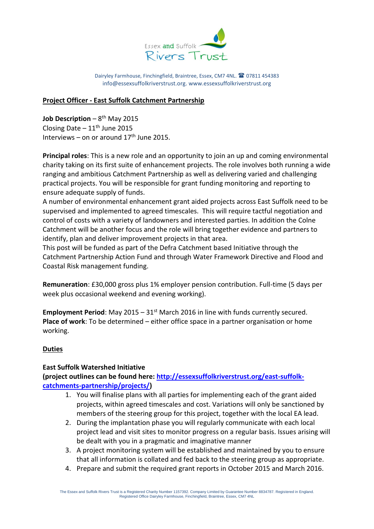

Dairyley Farmhouse, Finchingfield, Braintree, Essex, CM7 4NL. <sup>2</sup>07811 454383 [info@essexsuffolkriverstrust.org.](mailto:info@essexsuffolkriverstrust.org) [www.essexsuffolkriverstrust.org](http://www.essexsuffolkriverstrust.org/)

### **Project Officer - East Suffolk Catchment Partnership**

**Job Description –** 8<sup>th</sup> May 2015 Closing Date  $-11<sup>th</sup>$  June 2015 Interviews – on or around  $17<sup>th</sup>$  June 2015.

**Principal roles**: This is a new role and an opportunity to join an up and coming environmental charity taking on its first suite of enhancement projects. The role involves both running a wide ranging and ambitious Catchment Partnership as well as delivering varied and challenging practical projects. You will be responsible for grant funding monitoring and reporting to ensure adequate supply of funds.

A number of environmental enhancement grant aided projects across East Suffolk need to be supervised and implemented to agreed timescales. This will require tactful negotiation and control of costs with a variety of landowners and interested parties. In addition the Colne Catchment will be another focus and the role will bring together evidence and partners to identify, plan and deliver improvement projects in that area.

This post will be funded as part of the Defra Catchment based Initiative through the Catchment Partnership Action Fund and through Water Framework Directive and Flood and Coastal Risk management funding.

**Remuneration**: £30,000 gross plus 1% employer pension contribution. Full-time (5 days per week plus occasional weekend and evening working).

**Employment Period:** May 2015 –  $31<sup>st</sup>$  March 2016 in line with funds currently secured. **Place of work**: To be determined – either office space in a partner organisation or home working.

# **Duties**

### **East Suffolk Watershed Initiative**

**(project outlines can be found here: [http://essexsuffolkriverstrust.org/east-suffolk](http://essexsuffolkriverstrust.org/east-suffolk-catchments-partnership/projects/)[catchments-partnership/projects/\)](http://essexsuffolkriverstrust.org/east-suffolk-catchments-partnership/projects/)** 

- 1. You will finalise plans with all parties for implementing each of the grant aided projects, within agreed timescales and cost. Variations will only be sanctioned by members of the steering group for this project, together with the local EA lead.
- 2. During the implantation phase you will regularly communicate with each local project lead and visit sites to monitor progress on a regular basis. Issues arising will be dealt with you in a pragmatic and imaginative manner
- 3. A project monitoring system will be established and maintained by you to ensure that all information is collated and fed back to the steering group as appropriate.
- 4. Prepare and submit the required grant reports in October 2015 and March 2016.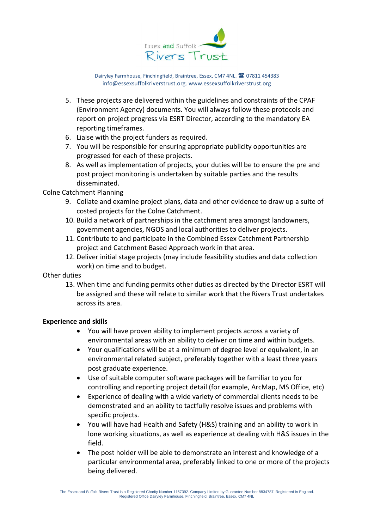

Dairyley Farmhouse, Finchingfield, Braintree, Essex, CM7 4NL. <sup>2</sup> 07811 454383 [info@essexsuffolkriverstrust.org.](mailto:info@essexsuffolkriverstrust.org) [www.essexsuffolkriverstrust.org](http://www.essexsuffolkriverstrust.org/)

- 5. These projects are delivered within the guidelines and constraints of the CPAF (Environment Agency) documents. You will always follow these protocols and report on project progress via ESRT Director, according to the mandatory EA reporting timeframes.
- 6. Liaise with the project funders as required.
- 7. You will be responsible for ensuring appropriate publicity opportunities are progressed for each of these projects.
- 8. As well as implementation of projects, your duties will be to ensure the pre and post project monitoring is undertaken by suitable parties and the results disseminated.

## Colne Catchment Planning

- 9. Collate and examine project plans, data and other evidence to draw up a suite of costed projects for the Colne Catchment.
- 10. Build a network of partnerships in the catchment area amongst landowners, government agencies, NGOS and local authorities to deliver projects.
- 11. Contribute to and participate in the Combined Essex Catchment Partnership project and Catchment Based Approach work in that area.
- 12. Deliver initial stage projects (may include feasibility studies and data collection work) on time and to budget.

### Other duties

13. When time and funding permits other duties as directed by the Director ESRT will be assigned and these will relate to similar work that the Rivers Trust undertakes across its area.

### **Experience and skills**

- You will have proven ability to implement projects across a variety of environmental areas with an ability to deliver on time and within budgets.
- Your qualifications will be at a minimum of degree level or equivalent, in an environmental related subject, preferably together with a least three years post graduate experience.
- Use of suitable computer software packages will be familiar to you for controlling and reporting project detail (for example, ArcMap, MS Office, etc)
- Experience of dealing with a wide variety of commercial clients needs to be demonstrated and an ability to tactfully resolve issues and problems with specific projects.
- You will have had Health and Safety (H&S) training and an ability to work in lone working situations, as well as experience at dealing with H&S issues in the field.
- The post holder will be able to demonstrate an interest and knowledge of a particular environmental area, preferably linked to one or more of the projects being delivered.